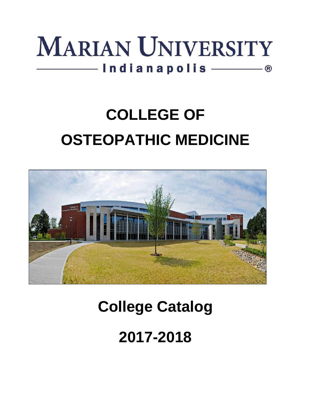

# **COLLEGE OF OSTEOPATHIC MEDICINE**



## **College Catalog**

**2017-2018**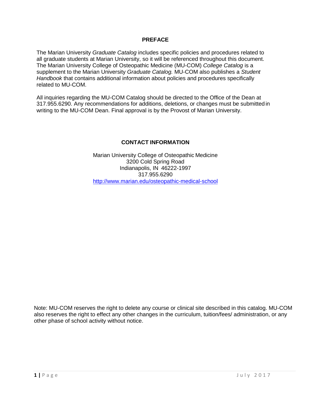#### **PREFACE**

The Marian University *Graduate Catalog* includes specific policies and procedures related to all graduate students at Marian University, so it will be referenced throughout this document. The Marian University College of Osteopathic Medicine (MU-COM) *College Catalog* is a supplement to the Marian University *Graduate Catalog.* MU-COM also publishes a *Student Handbook* that contains additional information about policies and procedures specifically related to MU-COM.

All inquiries regarding the MU-COM Catalog should be directed to the Office of the Dean at 317.955.6290. Any recommendations for additions, deletions, or changes must be submitted in writing to the MU-COM Dean. Final approval is by the Provost of Marian University.

#### **CONTACT INFORMATION**

Marian University College of Osteopathic Medicine 3200 Cold Spring Road Indianapolis, IN 46222-1997 317.955.6290 <http://www.marian.edu/osteopathic-medical-school>

Note: MU-COM reserves the right to delete any course or clinical site described in this catalog. MU-COM also reserves the right to effect any other changes in the curriculum, tuition/fees/ administration, or any other phase of school activity without notice.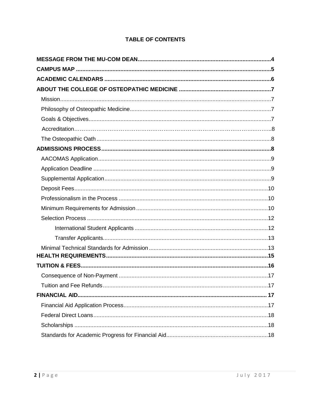### **TABLE OF CONTENTS**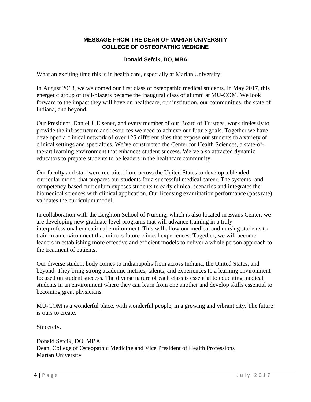#### **MESSAGE FROM THE DEAN OF MARIAN UNIVERSITY COLLEGE OF OSTEOPATHIC MEDICINE**

#### **Donald Sefcik, DO, MBA**

What an exciting time this is in health care, especially at Marian University!

In August 2013, we welcomed our first class of osteopathic medical students. In May 2017, this energetic group of trail-blazers became the inaugural class of alumni at MU-COM. We look forward to the impact they will have on healthcare, our institution, our communities, the state of Indiana, and beyond.

Our President, Daniel J. Elsener, and every member of our Board of Trustees, work tirelessly to provide the infrastructure and resources we need to achieve our future goals. Together we have developed a clinical network of over 125 different sites that expose our students to a variety of clinical settings and specialties. We've constructed the Center for Health Sciences, a state-ofthe-art learning environment that enhances student success. We've also attracted dynamic educators to prepare students to be leaders in the healthcare community.

Our faculty and staff were recruited from across the United States to develop a blended curricular model that prepares our students for a successful medical career. The systems- and competency-based curriculum exposes students to early clinical scenarios and integrates the biomedical sciences with clinical application. Our licensing examination performance (passrate) validates the curriculum model.

In collaboration with the Leighton School of Nursing, which is also located in Evans Center, we are developing new graduate-level programs that will advance training in a truly interprofessional educational environment. This will allow our medical and nursing students to train in an environment that mirrors future clinical experiences. Together, we will become leaders in establishing more effective and efficient models to deliver a whole person approach to the treatment of patients.

Our diverse student body comes to Indianapolis from across Indiana, the United States, and beyond. They bring strong academic metrics, talents, and experiences to a learning environment focused on student success. The diverse nature of each class is essential to educating medical students in an environment where they can learn from one another and develop skills essential to becoming great physicians.

MU-COM is a wonderful place, with wonderful people, in a growing and vibrant city. The future is ours to create.

Sincerely,

Donald Sefcik, DO, MBA Dean, College of Osteopathic Medicine and Vice President of Health Professions Marian University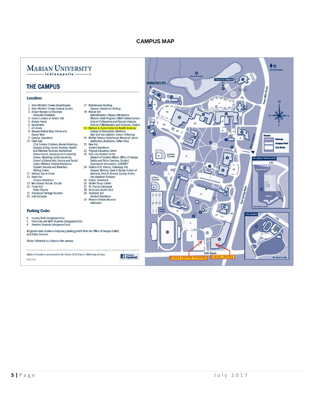#### **CAMPUS MAP**

#### <span id="page-5-0"></span>**MARIAN UNIVERSITY** -Indianapolis

17 Maintenance Building<br>Campus Operations Parking<br>18 Marian Hall

Safety and Police Services, Student<br>Safety and Police Services, Student<br>Government Association, SUBWAY®<br>24 Sites of St. Francis, Oldenburg Hall<br>Campus Ministry, Clark H. Byrum School of<br>Business, Paul N. Norman Cycling Cen

San Damiano Scholars<br>
San Damiano Scholars<br>
25 Sisters' Residence<br>
26 Steffen Music Center<br>
27 St. Francis Colonnade

St. Vincent Health Field

University Hall<br>Student Residence

30 Wheeler-Stokely Mansion<br>Admission

 $21$ **New Hall Student Residence**<br>Student Residence<br>Physical Education Center

 $22$ 

28

 $\overline{29}$ 

#### **THE CAMPUS**

#### **Location:**

- Allen Whitehill Clowes Amphitheater  $\ddot{\mathbf{1}}$ Allen Whitehill Clowes All philosocie<br>Allen Whitehill Clowes Oriental Garden<br>Allison Mansion at Riverdale  $\frac{2}{3}$
- 
- University President<br>Future Location of Alumni Hall  $\overline{\mathbf{4}}$
- 5 Alverna House<br>6 Apartments
- $\overline{7}$ **Art Annex**
- $\dot{\mathbf{g}}$ **Blessed Mother Mary Shrine and<br>Rosary Walk**
- Rosary Walk<br>9 Campus Operations<br>10 Clare Hall
- rues<br>
21st Century Scholars, Alumni Relations,<br>
Campus Dining, Career Services, Health<br>
and Wellness Services, Institutional Advancement, Learning and Counseling<br>Advancement, Learning and Counseling<br>Center, Marketing Communications, School of Liberal Arts, Service and Social<br>Justice Ministry, Student Residence, Student Success and Retention,
- Statent Saccess and<br>Writing Center<br>11 DeHaan Family Forum
- 12 Doyle Hall<br>Student Residence
- 13 Nina Mason Pulliam EcoLab<br>14 Fisher Hall
- Peine Theatre
- 15 Franciscan Heritage Fountain<br>16 Indy Cycloplex
- 
- **Parking Code:**
- $\Delta$
- Faculty/Staff (designated lots)<br>Commuter and MAP Students (designated lots)<br>Resident Students (designated lots)  $\overline{c}$
- 

All guests must receive a temporary parking permit from the Office of Campus Safety and Police Services.

Marian University is a tobacco-free campus.

Marian University is sponsored by the Sisters of St. Francis, Oldenburg, Indiana, MAR 2014

Find us on<br>
Facebook

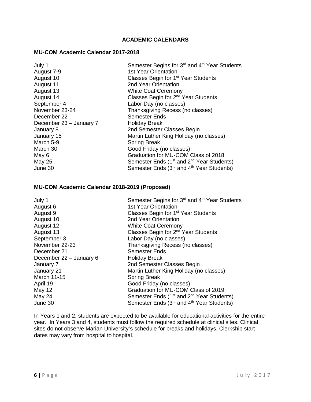#### **ACADEMIC CALENDARS**

#### <span id="page-6-0"></span>**MU-COM Academic Calendar 2017-2018**

| Semester Begins for 3rd and 4th Year Students                     |
|-------------------------------------------------------------------|
| <b>1st Year Orientation</b>                                       |
| Classes Begin for 1 <sup>st</sup> Year Students                   |
| 2nd Year Orientation                                              |
| <b>White Coat Ceremony</b>                                        |
| Classes Begin for 2 <sup>nd</sup> Year Students                   |
| Labor Day (no classes)                                            |
| Thanksgiving Recess (no classes)                                  |
| <b>Semester Ends</b>                                              |
| <b>Holiday Break</b>                                              |
| 2nd Semester Classes Begin                                        |
| Martin Luther King Holiday (no classes)                           |
| <b>Spring Break</b>                                               |
| Good Friday (no classes)                                          |
| Graduation for MU-COM Class of 2018                               |
| Semester Ends (1 <sup>st</sup> and 2 <sup>nd</sup> Year Students) |
| Semester Ends (3 <sup>rd</sup> and 4 <sup>th</sup> Year Students) |
|                                                                   |

#### **MU-COM Academic Calendar 2018-2019 (Proposed)**

| July 1                  | Semester Begins for 3 <sup>rd</sup> and 4 <sup>th</sup> Year Students |
|-------------------------|-----------------------------------------------------------------------|
| August 6                | <b>1st Year Orientation</b>                                           |
| August 9                | Classes Begin for 1 <sup>st</sup> Year Students                       |
| August 10               | 2nd Year Orientation                                                  |
| August 12               | <b>White Coat Ceremony</b>                                            |
| August 13               | Classes Begin for 2 <sup>nd</sup> Year Students                       |
| September 3             | Labor Day (no classes)                                                |
| November 22-23          | Thanksgiving Recess (no classes)                                      |
| December 21             | <b>Semester Ends</b>                                                  |
| December 22 - January 6 | <b>Holiday Break</b>                                                  |
| January 7               | 2nd Semester Classes Begin                                            |
| January 21              | Martin Luther King Holiday (no classes)                               |
| <b>March 11-15</b>      | <b>Spring Break</b>                                                   |
| April 19                | Good Friday (no classes)                                              |
| <b>May 12</b>           | Graduation for MU-COM Class of 2019                                   |
| May 24                  | Semester Ends (1 <sup>st</sup> and 2 <sup>nd</sup> Year Students)     |
| June 30                 | Semester Ends (3 <sup>rd</sup> and 4 <sup>th</sup> Year Students)     |
|                         |                                                                       |

In Years 1 and 2, students are expected to be available for educational activities for the entire year. In Years 3 and 4, students must follow the required schedule at clinical sites. Clinical sites do not observe Marian University's schedule for breaks and holidays. Clerkship start dates may vary from hospital to hospital.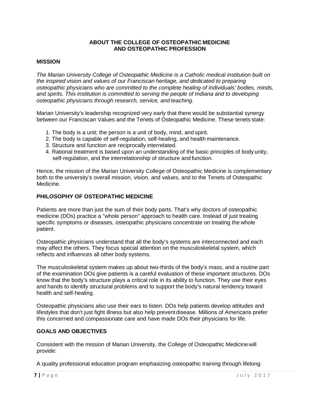#### **ABOUT THE COLLEGE OF OSTEOPATHIC MEDICINE AND OSTEOPATHIC PROFESSION**

#### <span id="page-7-0"></span>**MISSION**

*The Marian University College of Osteopathic Medicine is a Catholic medical institution built on the inspired vision and values of our Franciscan heritage, and dedicated to preparing osteopathic physicians who are committed to the complete healing of individuals' bodies, minds, and spirits. This institution is committed to serving the people of Indiana and to developing osteopathic physicians through research, service, and teaching.*

Marian University's leadership recognized very early that there would be substantial synergy between our Franciscan Values and the Tenets of Osteopathic Medicine. These tenets state:

- 1. The body is a unit; the person is a unit of body, mind, and spirit.
- 2. The body is capable of self-regulation, self-healing, and health maintenance.
- 3. Structure and function are reciprocally interrelated.
- 4. Rational treatment is based upon an understanding of the basic principles of body unity, self-regulation, and the interrelationship of structure and function.

Hence, the mission of the Marian University College of Osteopathic Medicine is complementary both to the university's overall mission, vision, and values, and to the Tenets of Osteopathic Medicine.

#### <span id="page-7-1"></span>**PHILOSOPHY OF OSTEOPATHIC MEDICINE**

Patients are more than just the sum of their body parts. That's why doctors of osteopathic medicine (DOs) practice a "whole person" approach to health care. Instead of just treating specific symptoms or diseases, osteopathic physicians concentrate on treating the whole patient.

Osteopathic physicians understand that all the body's systems are interconnected and each may affect the others. They focus special attention on the musculoskeletal system, which reflects and influences all other body systems.

The musculoskeletal system makes up about two-thirds of the body's mass, and a routine part of the examination DOs give patients is a careful evaluation of these important structures. DOs know that the body's structure plays a critical role in its ability to function. They use their eyes and hands to identify structural problems and to support the body's natural tendency toward health and self-healing.

Osteopathic physicians also use their ears to listen. DOs help patients develop attitudes and lifestyles that don't just fight illness but also help prevent disease. Millions of Americans prefer this concerned and compassionate care and have made DOs their physicians for life.

#### **GOALS AND OBJECTIVES**

Consistent with the mission of Marian University, the College of Osteopathic Medicine will provide:

A quality professional education program emphasizing osteopathic training through lifelong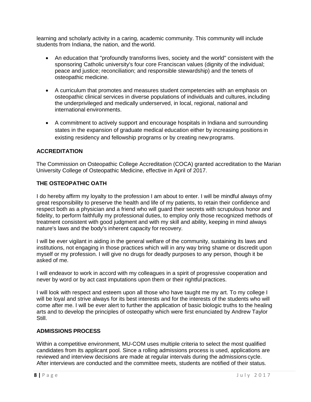learning and scholarly activity in a caring, academic community. This community will include students from Indiana, the nation, and the world.

- An education that "profoundly transforms lives, society and the world" consistent with the sponsoring Catholic university's four core Franciscan values (dignity of the individual; peace and justice; reconciliation; and responsible stewardship) and the tenets of osteopathic medicine.
- A curriculum that promotes and measures student competencies with an emphasis on osteopathic clinical services in diverse populations of individuals and cultures, including the underprivileged and medically underserved, in local, regional, national and international environments.
- A commitment to actively support and encourage hospitals in Indiana and surrounding states in the expansion of graduate medical education either by increasing positions in existing residency and fellowship programs or by creating new programs.

#### <span id="page-8-0"></span>**ACCREDITATION**

The Commission on Osteopathic College Accreditation (COCA) granted accreditation to the Marian University College of Osteopathic Medicine, effective in April of 2017.

#### **THE OSTEOPATHIC OATH**

I do hereby affirm my loyalty to the profession I am about to enter. I will be mindful always ofmy great responsibility to preserve the health and life of my patients, to retain their confidence and respect both as a physician and a friend who will guard their secrets with scrupulous honor and fidelity, to perform faithfully my professional duties, to employ only those recognized methods of treatment consistent with good judgment and with my skill and ability, keeping in mind always nature's laws and the body's inherent capacity for recovery.

I will be ever vigilant in aiding in the general welfare of the community, sustaining its laws and institutions, not engaging in those practices which will in any way bring shame or discredit upon myself or my profession. I will give no drugs for deadly purposes to any person, though it be asked of me.

I will endeavor to work in accord with my colleagues in a spirit of progressive cooperation and never by word or by act cast imputations upon them or their rightful practices.

I will look with respect and esteem upon all those who have taught me my art. To my college I will be loyal and strive always for its best interests and for the interests of the students who will come after me. I will be ever alert to further the application of basic biologic truths to the healing arts and to develop the principles of osteopathy which were first enunciated by Andrew Taylor Still.

#### <span id="page-8-1"></span>**ADMISSIONS PROCESS**

Within a competitive environment, MU-COM uses multiple criteria to select the most qualified candidates from its applicant pool. Since a rolling admissions process is used, applications are reviewed and interview decisions are made at regular intervals during the admissions cycle. After interviews are conducted and the committee meets, students are notified of their status.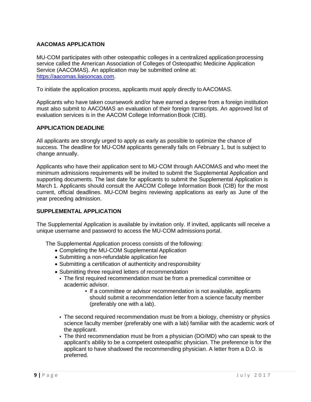#### <span id="page-9-0"></span>**AACOMAS APPLICATION**

MU-COM participates with other osteopathic colleges in a centralized application processing service called the American Association of Colleges of Osteopathic Medicine Application Service (AACOMAS). An application may be submitted online at: [https://aacomas.liaisoncas.com.](https://aacomas.liaisoncas.com/)

To initiate the application process, applicants must apply directly to AACOMAS.

Applicants who have taken coursework and/or have earned a degree from a foreign institution must also submit to AACOMAS an evaluation of their foreign transcripts. An approved list of evaluation services is in the AACOM College Information Book (CIB).

#### <span id="page-9-1"></span>**APPLICATION DEADLINE**

All applicants are strongly urged to apply as early as possible to optimize the chance of success. The deadline for MU-COM applicants generally falls on February 1, but is subject to change annually.

Applicants who have their application sent to MU-COM through AACOMAS and who meet the minimum admissions requirements will be invited to submit the Supplemental Application and supporting documents. The last date for applicants to submit the Supplemental Application is March 1. Applicants should consult the AACOM College Information Book (CIB) for the most current, official deadlines. MU-COM begins reviewing applications as early as June of the year preceding admission.

#### <span id="page-9-2"></span>**SUPPLEMENTAL APPLICATION**

The Supplemental Application is available by invitation only. If invited, applicants will receive a unique username and password to access the MU-COM admissions portal.

The Supplemental Application process consists of the following:

- Completing the MU-COM Supplemental Application
- Submitting a non-refundable application fee
- Submitting a certification of authenticity and responsibility
- Submitting three required letters of recommendation
	- The first required recommendation must be from a premedical committee or academic advisor.
		- If a committee or advisor recommendation is not available, applicants should submit a recommendation letter from a science faculty member (preferably one with a lab).
	- The second required recommendation must be from a biology, chemistry or physics science faculty member (preferably one with a lab) familiar with the academic work of the applicant.
	- The third recommendation must be from a physician (DO/MD) who can speak to the applicant's ability to be a competent osteopathic physician. The preference is for the applicant to have shadowed the recommending physician. A letter from a D.O. is preferred.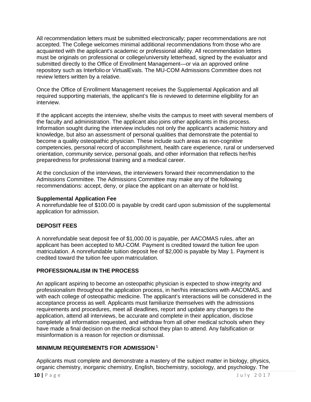All recommendation letters must be submitted electronically; paper recommendations are not accepted. The College welcomes minimal additional recommendations from those who are acquainted with the applicant's academic or professional ability. All recommendation letters must be originals on professional or college/university letterhead, signed by the evaluator and submitted directly to the Office of Enrollment Management—or via an approved online repository such as Interfolio or VirtualEvals. The MU-COM Admissions Committee does not review letters written by a relative.

Once the Office of Enrollment Management receives the Supplemental Application and all required supporting materials, the applicant's file is reviewed to determine eligibility for an interview.

If the applicant accepts the interview, she/he visits the campus to meet with several members of the faculty and administration. The applicant also joins other applicants in this process. Information sought during the interview includes not only the applicant's academic history and knowledge, but also an assessment of personal qualities that demonstrate the potential to become a quality osteopathic physician. These include such areas as non-cognitive competencies, personal record of accomplishment, health care experience, rural or underserved orientation, community service, personal goals, and other information that reflects her/his preparedness for professional training and a medical career.

At the conclusion of the interviews, the interviewers forward their recommendation to the Admissions Committee. The Admissions Committee may make any of the following recommendations: accept, deny, or place the applicant on an alternate or hold list.

#### **Supplemental Application Fee**

A nonrefundable fee of \$100.00 is payable by credit card upon submission of the supplemental application for admission.

#### **DEPOSIT FEES**

A nonrefundable seat deposit fee of \$1,000.00 is payable, per AACOMAS rules, after an applicant has been accepted to MU-COM. Payment is credited toward the tuition fee upon matriculation. A nonrefundable tuition deposit fee of \$2,000 is payable by May 1. Payment is credited toward the tuition fee upon matriculation.

#### <span id="page-10-0"></span>**PROFESSIONALISM IN THE PROCESS**

An applicant aspiring to become an osteopathic physician is expected to show integrity and professionalism throughout the application process, in her/his interactions with AACOMAS, and with each college of osteopathic medicine. The applicant's interactions will be considered in the acceptance process as well. Applicants must familiarize themselves with the admissions requirements and procedures, meet all deadlines, report and update any changes to the application, attend all interviews, be accurate and complete in their application, disclose completely all information requested, and withdraw from all other medical schools when they have made a final decision on the medical school they plan to attend. Any falsification or misinformation is a reason for rejection or dismissal.

#### **MINIMUM REQUIREMENTS FOR ADMISSION <sup>1</sup>**

Applicants must complete and demonstrate a mastery of the subject matter in biology, physics, organic chemistry, inorganic chemistry, English, biochemistry, sociology, and psychology. The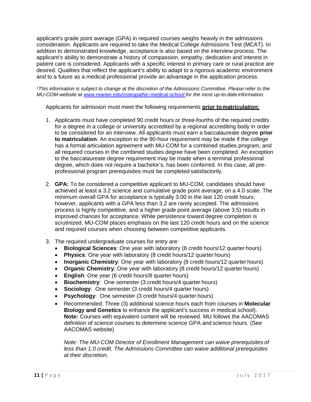applicant's grade point average (GPA) in required courses weighs heavily in the admissions consideration. Applicants are required to take the Medical College Admissions Test (MCAT). In addition to demonstrated knowledge, acceptance is also based on the interview process. The applicant's ability to demonstrate a history of compassion, empathy, dedication and interest in patient care is considered. Applicants with a specific interest in primary care or rural practice are desired. Qualities that reflect the applicant's ability to adapt to a rigorous academic environment and to a future as a medical professional provide an advantage in the application process.

*1This information is subject to change at the discretion of the Admissions Committee. Please refer to the MU-COM website at [www.marian.edu/osteopathic-medical-school f](http://www.marian.edu/osteopathic-medical-school)or the most up-to-date information.*

Applicants for admission must meet the following requirements **prior tomatriculation:**

- 1. Applicants must have completed 90 credit hours or three-fourths of the required credits for a degree in a college or university accredited by a regional accrediting body in order to be considered for an interview. All applicants must earn a baccalaureate degree **prior to matriculation**. An exception to the 90-hour requirement may be made if the college has a formal articulation agreement with MU-COM for a combined studies program, and all required courses in the combined studies degree have been completed. An exception to the baccalaureate degree requirement may be made when a terminal professional degree, which does not require a bachelor's, has been conferred. In this case, all preprofessional program prerequisites must be completed satisfactorily.
- 2. **GPA:** To be considered a competitive applicant to MU-COM, candidates should have achieved at least a 3.2 science and cumulative grade point average, on a 4.0 scale. The minimum overall GPA for acceptance is typically 3.00 in the last 120 credit hours; however, applicants with a GPA less than 3.2 are rarely accepted. The admissions process is highly competitive, and a higher grade point average (above 3.5) results in improved chances for acceptance. While persistence toward degree completion is scrutinized, MU-COM places emphasis on the last 120 credit hours and on the science and required courses when choosing between competitive applicants.
- 3. The required undergraduate courses for entry are:
	- **Biological Sciences**: One year with laboratory (8 credit hours/12 quarter hours)
	- **Physics**: One year with laboratory (8 credit hours/12 quarter hours)
	- **Inorganic Chemistry**: One year with laboratory (8 credit hours/12 quarter hours)
	- **Organic Chemistry**: One year with laboratory (8 credit hours/12 quarter hours)
	- **English**: One year (6 credit hours/8 quarter hours)
	- **Biochemistry**: One semester (3 credit hours/4 quarter hours)
	- **Sociology**: One semester (3 credit hours/4 quarter hours)
	- **Psychology**: One semester (3 credit hours/4 quarter hours)
	- Recommended: Three (3) additional science hours each from courses in **Molecular Biology and Genetics** to enhance the applicant's success in medical school). **Note:** Courses with equivalent content will be reviewed. MU follows the AACOMAS definition of science courses to determine science GPA and science hours. (See AACOMAS website)

*Note: The MU-COM Director of Enrollment Management can waive prerequisites of less than 1.0 credit. The Admissions Committee can waive additional prerequisites at their discretion.*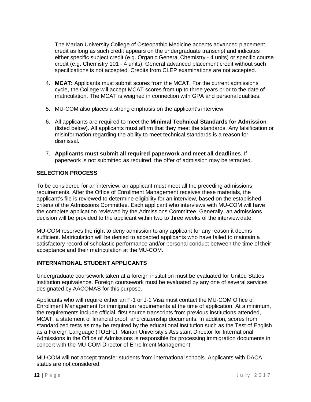The Marian University College of Osteopathic Medicine accepts advanced placement credit as long as such credit appears on the undergraduate transcript and indicates either specific subject credit (e.g. Organic General Chemistry - 4 units) or specific course credit (e.g. Chemistry 101 - 4 units). General advanced placement credit without such specifications is not accepted. Credits from CLEP examinations are not accepted.

- 4. **MCAT:** Applicants must submit scores from the MCAT. For the current admissions cycle, the College will accept MCAT scores from up to three years prior to the date of matriculation. The MCAT is weighed in connection with GPA and personal qualities.
- 5. MU-COM also places a strong emphasis on the applicant's interview.
- 6. All applicants are required to meet the **Minimal Technical Standards for Admission**  (listed below). All applicants must affirm that they meet the standards. Any falsification or misinformation regarding the ability to meet technical standards is a reason for dismissal.
- 7. **Applicants must submit all required paperwork and meet all deadlines**. If paperwork is not submitted as required, the offer of admission may be retracted.

#### <span id="page-12-0"></span>**SELECTION PROCESS**

To be considered for an interview, an applicant must meet all the preceding admissions requirements. After the Office of Enrollment Management receives these materials, the applicant's file is reviewed to determine eligibility for an interview, based on the established criteria of the Admissions Committee. Each applicant who interviews with MU-COM will have the complete application reviewed by the Admissions Committee. Generally, an admissions decision will be provided to the applicant within two to three weeks of the interviewdate.

MU-COM reserves the right to deny admission to any applicant for any reason it deems sufficient. Matriculation will be denied to accepted applicants who have failed to maintain a satisfactory record of scholastic performance and/or personal conduct between the time of their acceptance and their matriculation at the MU-COM.

#### <span id="page-12-1"></span>**INTERNATIONAL STUDENT APPLICANTS**

Undergraduate coursework taken at a foreign institution must be evaluated for United States institution equivalence. Foreign coursework must be evaluated by any one of several services designated by AACOMAS for this purpose.

Applicants who will require either an F-1 or J-1 Visa must contact the MU-COM Office of Enrollment Management for immigration requirements at the time of application. At a minimum, the requirements include official, first source transcripts from previous institutions attended, MCAT, a statement of financial proof, and citizenship documents. In addition, scores from standardized tests as may be required by the educational institution such as the Test of English as a Foreign Language (TOEFL). Marian University's Assistant Director for International Admissions in the Office of Admissions is responsible for processing immigration documents in concert with the MU-COM Director of Enrollment Management.

MU-COM will not accept transfer students from international schools. Applicants with DACA status are not considered.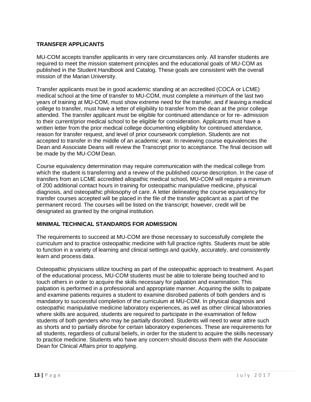#### <span id="page-13-0"></span>**TRANSFER APPLICANTS**

MU-COM accepts transfer applicants in very rare circumstances only. All transfer students are required to meet the mission statement principles and the educational goals of MU-COM as published in the Student Handbook and Catalog. These goals are consistent with the overall mission of the Marian University.

Transfer applicants must be in good academic standing at an accredited (COCA or LCME) medical school at the time of transfer to MU-COM, must complete a minimum of the last two years of training at MU-COM, must show extreme need for the transfer, and if leaving a medical college to transfer, must have a letter of eligibility to transfer from the dean at the prior college attended. The transfer applicant must be eligible for continued attendance or for re- admission to their current/prior medical school to be eligible for consideration. Applicants must have a written letter from the prior medical college documenting eligibility for continued attendance, reason for transfer request, and level of prior coursework completion. Students are not accepted to transfer in the middle of an academic year. In reviewing course equivalencies the Dean and Associate Deans will review the Transcript prior to acceptance. The final decision will be made by the MU-COM Dean.

Course equivalency determination may require communication with the medical college from which the student is transferring and a review of the published course description. In the case of transfers from an LCME accredited allopathic medical school, MU-COM will require a minimum of 200 additional contact hours in training for osteopathic manipulative medicine, physical diagnosis, and osteopathic philosophy of care. A letter delineating the course equivalency for transfer courses accepted will be placed in the file of the transfer applicant as a part of the permanent record. The courses will be listed on the transcript; however, credit will be designated as granted by the original institution.

#### <span id="page-13-1"></span>**MINIMAL TECHNICAL STANDARDS FOR ADMISSION**

The requirements to succeed at MU-COM are those necessary to successfully complete the curriculum and to practice osteopathic medicine with full practice rights. Students must be able to function in a variety of learning and clinical settings and quickly, accurately, and consistently learn and process data.

Osteopathic physicians utilize touching as part of the osteopathic approach to treatment. As part of the educational process, MU-COM students must be able to tolerate being touched and to touch others in order to acquire the skills necessary for palpation and examination. This palpation is performed in a professional and appropriate manner. Acquiring the skills to palpate and examine patients requires a student to examine disrobed patients of both genders and is mandatory to successful completion of the curriculum at MU-COM. In physical diagnosis and osteopathic manipulative medicine laboratory experiences, as well as other clinical laboratories where skills are acquired, students are required to participate in the examination of fellow students of both genders who may be partially disrobed. Students will need to wear attire such as shorts and to partially disrobe for certain laboratory experiences. These are requirements for all students, regardless of cultural beliefs, in order for the student to acquire the skills necessary to practice medicine. Students who have any concern should discuss them with the Associate Dean for Clinical Affairs prior to applying.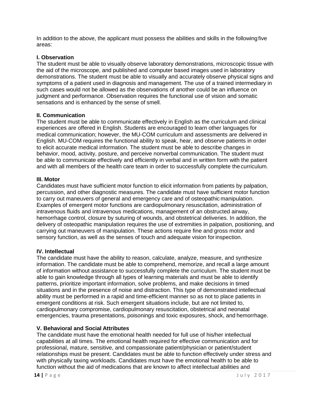In addition to the above, the applicant must possess the abilities and skills in the followingfive areas:

#### **I. Observation**

The student must be able to visually observe laboratory demonstrations, microscopic tissue with the aid of the microscope, and published and computer based images used in laboratory demonstrations. The student must be able to visually and accurately observe physical signs and symptoms of a patient used in diagnosis and management. The use of a trained intermediary in such cases would not be allowed as the observations of another could be an influence on judgment and performance. Observation requires the functional use of vision and somatic sensations and is enhanced by the sense of smell.

#### **II. Communication**

The student must be able to communicate effectively in English as the curriculum and clinical experiences are offered in English. Students are encouraged to learn other languages for medical communication; however, the MU-COM curriculum and assessments are delivered in English. MU-COM requires the functional ability to speak, hear, and observe patients in order to elicit accurate medical information. The student must be able to describe changes in behavior, mood, activity, posture, and perceive nonverbal communication. The student must be able to communicate effectively and efficiently in verbal and in written form with the patient and with all members of the health care team in order to successfully complete the curriculum.

#### **III. Motor**

Candidates must have sufficient motor function to elicit information from patients by palpation, percussion, and other diagnostic measures. The candidate must have sufficient motor function to carry out maneuvers of general and emergency care and of osteopathic manipulation. Examples of emergent motor functions are cardiopulmonary resuscitation, administration of intravenous fluids and intravenous medications, management of an obstructed airway, hemorrhage control, closure by suturing of wounds, and obstetrical deliveries. In addition, the delivery of osteopathic manipulation requires the use of extremities in palpation, positioning, and carrying out maneuvers of manipulation. These actions require fine and gross motor and sensory function, as well as the senses of touch and adequate vision for inspection.

#### **IV. Intellectual**

The candidate must have the ability to reason, calculate, analyze, measure, and synthesize information. The candidate must be able to comprehend, memorize, and recall a large amount of information without assistance to successfully complete the curriculum. The student must be able to gain knowledge through all types of learning materials and must be able to identify patterns, prioritize important information, solve problems, and make decisions in timed situations and in the presence of noise and distraction. This type of demonstrated intellectual ability must be performed in a rapid and time-efficient manner so as not to place patients in emergent conditions at risk. Such emergent situations include, but are not limited to, cardiopulmonary compromise, cardiopulmonary resuscitation, obstetrical and neonatal emergencies, trauma presentations, poisonings and toxic exposures, shock, and hemorrhage.

#### **V. Behavioral and Social Attributes**

The candidate must have the emotional health needed for full use of his/her intellectual capabilities at all times. The emotional health required for effective communication and for professional, mature, sensitive, and compassionate patient/physician or patient/student relationships must be present. Candidates must be able to function effectively under stress and with physically taxing workloads. Candidates must have the emotional health to be able to function without the aid of medications that are known to affect intellectual abilities and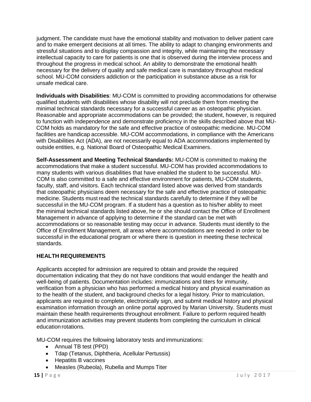judgment. The candidate must have the emotional stability and motivation to deliver patient care and to make emergent decisions at all times. The ability to adapt to changing environments and stressful situations and to display compassion and integrity, while maintaining the necessary intellectual capacity to care for patients is one that is observed during the interview process and throughout the progress in medical school. An ability to demonstrate the emotional health necessary for the delivery of quality and safe medical care is mandatory throughout medical school. MU-COM considers addiction or the participation in substance abuse as a risk for unsafe medical care.

**Individuals with Disabilities**: MU-COM is committed to providing accommodations for otherwise qualified students with disabilities whose disability will not preclude them from meeting the minimal technical standards necessary for a successful career as an osteopathic physician. Reasonable and appropriate accommodations can be provided; the student, however, is required to function with independence and demonstrate proficiency in the skills described above that MU-COM holds as mandatory for the safe and effective practice of osteopathic medicine. MU-COM facilities are handicap accessible. MU-COM accommodations, in compliance with the Americans with Disabilities Act (ADA), are not necessarily equal to ADA accommodations implemented by outside entities, e.g. National Board of Osteopathic Medical Examiners.

**Self-Assessment and Meeting Technical Standards:** MU-COM is committed to making the accommodations that make a student successful. MU-COM has provided accommodations to many students with various disabilities that have enabled the student to be successful. MU-COM is also committed to a safe and effective environment for patients, MU-COM students, faculty, staff, and visitors. Each technical standard listed above was derived from standards that osteopathic physicians deem necessary for the safe and effective practice of osteopathic medicine. Students must read the technical standards carefully to determine if they will be successful in the MU-COM program. If a student has a question as to his/her ability to meet the minimal technical standards listed above, he or she should contact the Office of Enrollment Management in advance of applying to determine if the standard can be met with accommodations or so reasonable testing may occur in advance. Students must identify to the Office of Enrollment Management, all areas where accommodations are needed in order to be successful in the educational program or where there is question in meeting these technical standards.

#### <span id="page-15-0"></span>**HEALTH REQUIREMENTS**

Applicants accepted for admission are required to obtain and provide the required documentation indicating that they do not have conditions that would endanger the health and well-being of patients. Documentation includes: immunizations and titers for immunity, verification from a physician who has performed a medical history and physical examination as to the health of the student, and background checks for a legal history. Prior to matriculation, applicants are required to complete, electronically sign, and submit medical history and physical examination information through an online portal approved by Marian University. Students must maintain these health requirements throughout enrollment. Failure to perform required health and immunization activities may prevent students from completing the curriculum in clinical education rotations.

MU-COM requires the following laboratory tests and immunizations:

- Annual TB test (PPD)
- Tdap (Tetanus, Diphtheria, Acellular Pertussis)
- Hepatitis B vaccines
- Measles (Rubeola), Rubella and Mumps Titer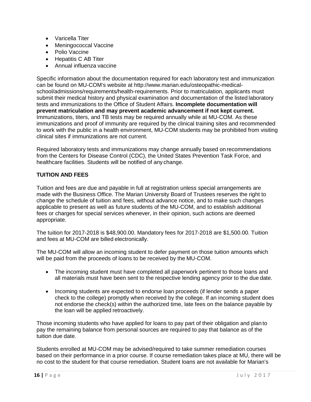- Varicella Titer
- Meningococcal Vaccine
- Polio Vaccine
- Hepatitis C AB Titer
- Annual influenza vaccine

Specific information about the documentation required for each laboratory test and immunization can be found on MU-COM's website at http://www.marian.edu/osteopathic-medicalschool/admissions/requirements/health-requirements. Prior to matriculation, applicants must submit their medical history and physical examination and documentation of the listed laboratory tests and immunizations to the Office of Student Affairs. **Incomplete documentation will prevent matriculation and may prevent academic advancement if not kept current.**  Immunizations, titers, and TB tests may be required annually while at MU-COM. As these immunizations and proof of immunity are required by the clinical training sites and recommended to work with the public in a health environment, MU-COM students may be prohibited from visiting clinical sites if immunizations are not current.

Required laboratory tests and immunizations may change annually based on recommendations from the Centers for Disease Control (CDC), the United States Prevention Task Force, and healthcare facilities. Students will be notified of any change.

#### **TUITION AND FEES**

Tuition and fees are due and payable in full at registration unless special arrangements are made with the Business Office. The Marian University Board of Trustees reserves the right to change the schedule of tuition and fees, without advance notice, and to make such changes applicable to present as well as future students of the MU-COM, and to establish additional fees or charges for special services whenever, in their opinion, such actions are deemed appropriate.

The tuition for 2017-2018 is \$48,900.00. Mandatory fees for 2017-2018 are \$1,500.00. Tuition and fees at MU-COM are billed electronically.

The MU-COM will allow an incoming student to defer payment on those tuition amounts which will be paid from the proceeds of loans to be received by the MU-COM.

- The incoming student must have completed all paperwork pertinent to those loans and all materials must have been sent to the respective lending agency prior to the due date.
- Incoming students are expected to endorse loan proceeds (if lender sends a paper check to the college) promptly when received by the college. If an incoming student does not endorse the check(s) within the authorized time, late fees on the balance payable by the loan will be applied retroactively.

Those incoming students who have applied for loans to pay part of their obligation and plan to pay the remaining balance from personal sources are required to pay that balance as of the tuition due date.

Students enrolled at MU-COM may be advised/required to take summer remediation courses based on their performance in a prior course. If course remediation takes place at MU, there will be no cost to the student for that course remediation. Student loans are not available for Marian's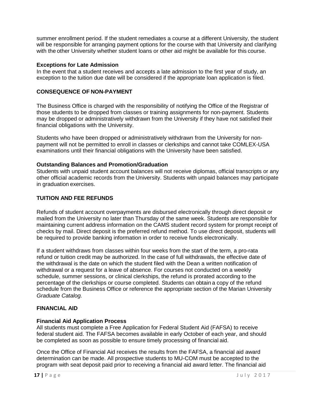summer enrollment period. If the student remediates a course at a different University, the student will be responsible for arranging payment options for the course with that University and clarifying with the other University whether student loans or other aid might be available for this course.

#### **Exceptions for Late Admission**

In the event that a student receives and accepts a late admission to the first year of study, an exception to the tuition due date will be considered if the appropriate loan application is filed.

#### **CONSEQUENCE OF NON-PAYMENT**

The Business Office is charged with the responsibility of notifying the Office of the Registrar of those students to be dropped from classes or training assignments for non-payment. Students may be dropped or administratively withdrawn from the University if they have not satisfied their financial obligations with the University.

Students who have been dropped or administratively withdrawn from the University for nonpayment will not be permitted to enroll in classes or clerkships and cannot take COMLEX-USA examinations until their financial obligations with the University have been satisfied.

#### **Outstanding Balances and Promotion/Graduation**

Students with unpaid student account balances will not receive diplomas, official transcripts or any other official academic records from the University. Students with unpaid balances may participate in graduation exercises.

#### **TUITION AND FEE REFUNDS**

Refunds of student account overpayments are disbursed electronically through direct deposit or mailed from the University no later than Thursday of the same week. Students are responsible for maintaining current address information on the CAMS student record system for prompt receipt of checks by mail. Direct deposit is the preferred refund method. To use direct deposit, students will be required to provide banking information in order to receive funds electronically.

If a student withdraws from classes within four weeks from the start of the term, a pro-rata refund or tuition credit may be authorized. In the case of full withdrawals, the effective date of the withdrawal is the date on which the student filed with the Dean a written notification of withdrawal or a request for a leave of absence. For courses not conducted on a weekly schedule, summer sessions, or clinical clerkships, the refund is prorated according to the percentage of the clerkships or course completed. Students can obtain a copy of the refund schedule from the Business Office or reference the appropriate section of the Marian University *Graduate Catalog.* 

#### <span id="page-17-0"></span>**FINANCIAL AID**

#### **Financial Aid Application Process**

All students must complete a Free Application for Federal Student Aid (FAFSA) to receive federal student aid. The FAFSA becomes available in early October of each year, and should be completed as soon as possible to ensure timely processing of financial aid.

Once the Office of Financial Aid receives the results from the FAFSA, a financial aid award determination can be made. All prospective students to MU-COM must be accepted to the program with seat deposit paid prior to receiving a financial aid award letter. The financial aid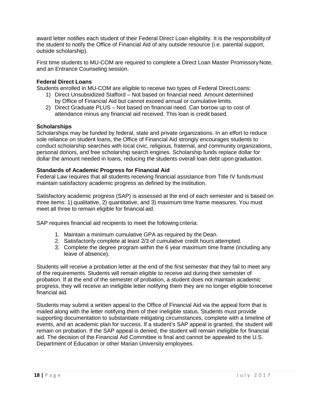award letter notifies each student of their Federal Direct Loan eligibility. It is the responsibilityof the student to notify the Office of Financial Aid of any outside resource (i.e. parental support, outside scholarship).

First time students to MU-COM are required to complete a Direct Loan Master PromissoryNote, and an Entrance Counseling session.

#### <span id="page-18-0"></span>**Federal Direct Loans**

Students enrolled in MU-COM are eligible to receive two types of Federal Direct Loans:

- 1) Direct Unsubsidized Stafford Not based on financial need. Amount determined by Office of Financial Aid but cannot exceed annual or cumulative limits.
- 2) Direct Graduate PLUS Not based on financial need. Can borrow up to cost of attendance minus any financial aid received. This loan is credit based.

#### <span id="page-18-1"></span>**Scholarships**

Scholarships may be funded by federal, state and private organizations. In an effort to reduce sole reliance on student loans, the Office of Financial Aid strongly encourages students to conduct scholarship searches with local civic, religious, fraternal, and community organizations, personal donors, and free scholarship search engines. Scholarship funds replace dollar for dollar the amount needed in loans, reducing the students overall loan debt upon graduation.

#### **Standards of Academic Progress for Financial Aid**

Federal Law requires that all students receiving financial assistance from Title IV fundsmust maintain satisfactory academic progress as defined by the institution.

Satisfactory academic progress (SAP) is assessed at the end of each semester and is based on three items: 1) qualitative, 2) quantitative, and 3) maximum time frame measures. You must meet all three to remain eligible for financial aid.

SAP requires financial aid recipients to meet the following criteria:

- 1. Maintain a minimum cumulative GPA as required by the Dean.
- 2. Satisfactorily complete at least 2/3 of cumulative credit hours attempted.
- 3. Complete the degree program within the 6 year maximum time frame (including any leave of absence).

Students will receive a probation letter at the end of the first semester that they fail to meet any of the requirements. Students will remain eligible to receive aid during their semester of probation. If at the end of the semester of probation, a student does not maintain academic progress, they will receive an ineligible letter notifying them they are no longer eligible toreceive financial aid.

Students may submit a written appeal to the Office of Financial Aid via the appeal form that is mailed along with the letter notifying them of their ineligible status. Students must provide supporting documentation to substantiate mitigating circumstances, complete with a timeline of events, and an academic plan for success. If a student's SAP appeal is granted, the student will remain on probation. If the SAP appeal is denied, the student will remain ineligible for financial aid. The decision of the Financial Aid Committee is final and cannot be appealed to the U.S. Department of Education or other Marian University employees.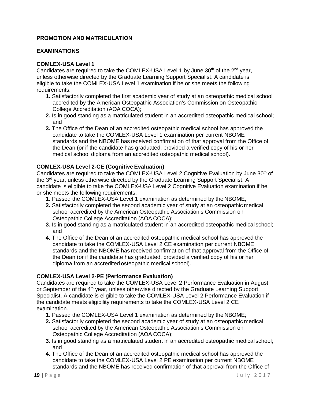#### **PROMOTION AND MATRICULATION**

#### **EXAMINATIONS**

#### **COMLEX-USA Level 1**

Candidates are required to take the COMLEX-USA Level 1 by June  $30<sup>th</sup>$  of the  $2<sup>nd</sup>$  year, unless otherwise directed by the Graduate Learning Support Specialist. A candidate is eligible to take the COMLEX-USA Level 1 examination if he or she meets the following requirements:

- **1.** Satisfactorily completed the first academic year of study at an osteopathic medical school accredited by the American Osteopathic Association's Commission on Osteopathic College Accreditation (AOA COCA);
- **2.** Is in good standing as a matriculated student in an accredited osteopathic medical school; and
- **3.** The Office of the Dean of an accredited osteopathic medical school has approved the candidate to take the COMLEX-USA Level 1 examination per current NBOME standards and the NBOME has received confirmation of that approval from the Office of the Dean (or if the candidate has graduated, provided a verified copy of his or her medical school diploma from an accredited osteopathic medical school).

#### **COMLEX-USA Level 2-CE (Cognitive Evaluation)**

Candidates are required to take the COMLEX-USA Level 2 Cognitive Evaluation by June 30<sup>th</sup> of the 3<sup>rd</sup> year, unless otherwise directed by the Graduate Learning Support Specialist. A candidate is eligible to take the COMLEX-USA Level 2 Cognitive Evaluation examination if he or she meets the following requirements:

- **1.** Passed the COMLEX-USA Level 1 examination as determined by the NBOME;
- **2.** Satisfactorily completed the second academic year of study at an osteopathic medical school accredited by the American Osteopathic Association's Commission on Osteopathic College Accreditation (AOA COCA);
- **3.** Is in good standing as a matriculated student in an accredited osteopathic medical school; and
- **4.** The Office of the Dean of an accredited osteopathic medical school has approved the candidate to take the COMLEX-USA Level 2 CE examination per current NBOME standards and the NBOME has received confirmation of that approval from the Office of the Dean (or if the candidate has graduated, provided a verified copy of his or her diploma from an accredited osteopathic medical school).

#### **COMLEX-USA Level 2-PE (Performance Evaluation)**

Candidates are required to take the COMLEX-USA Level 2 Performance Evaluation in August or September of the 4<sup>th</sup> year, unless otherwise directed by the Graduate Learning Support Specialist. A candidate is eligible to take the COMLEX-USA Level 2 Performance Evaluation if the candidate meets eligibility requirements to take the COMLEX-USA Level 2 CE examination.

- **1.** Passed the COMLEX-USA Level 1 examination as determined by the NBOME;
- **2.** Satisfactorily completed the second academic year of study at an osteopathic medical school accredited by the American Osteopathic Association's Commission on Osteopathic College Accreditation (AOA COCA);
- **3.** Is in good standing as a matriculated student in an accredited osteopathic medical school; and
- **4.** The Office of the Dean of an accredited osteopathic medical school has approved the candidate to take the COMLEX-USA Level 2 PE examination per current NBOME standards and the NBOME has received confirmation of that approval from the Office of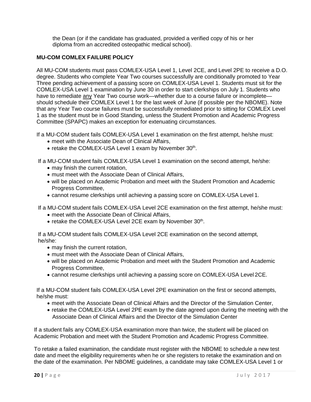the Dean (or if the candidate has graduated, provided a verified copy of his or her diploma from an accredited osteopathic medical school).

#### **MU-COM COMLEX FAILURE POLICY**

All MU-COM students must pass COMLEX-USA Level 1, Level 2CE, and Level 2PE to receive a D.O. degree. Students who complete Year Two courses successfully are conditionally promoted to Year Three pending achievement of a passing score on COMLEX-USA Level 1. Students must sit for the COMLEX-USA Level 1 examination by June 30 in order to start clerkships on July 1. Students who have to remediate any Year Two course work—whether due to a course failure or incomplete should schedule their COMLEX Level 1 for the last week of June (if possible per the NBOME). Note that any Year Two course failures must be successfully remediated prior to sitting for COMLEX Level 1 as the student must be in Good Standing, unless the Student Promotion and Academic Progress Committee (SPAPC) makes an exception for extenuating circumstances.

If a MU-COM student fails COMLEX-USA Level 1 examination on the first attempt, he/she must:

- meet with the Associate Dean of Clinical Affairs,
- retake the COMLEX-USA Level 1 exam by November 30<sup>th</sup>.

If a MU-COM student fails COMLEX-USA Level 1 examination on the second attempt, he/she:

- may finish the current rotation,
- must meet with the Associate Dean of Clinical Affairs,
- will be placed on Academic Probation and meet with the Student Promotion and Academic Progress Committee,
- cannot resume clerkships until achieving a passing score on COMLEX-USA Level 1.

If a MU-COM student fails COMLEX-USA Level 2CE examination on the first attempt, he/she must:

- meet with the Associate Dean of Clinical Affairs,
- retake the COMLEX-USA Level 2CE exam by November 30<sup>th</sup>.

If a MU-COM student fails COMLEX-USA Level 2CE examination on the second attempt, he/she:

- may finish the current rotation,
- must meet with the Associate Dean of Clinical Affairs,
- will be placed on Academic Probation and meet with the Student Promotion and Academic Progress Committee,
- cannot resume clerkships until achieving a passing score on COMLEX-USA Level 2CE.

If a MU-COM student fails COMLEX-USA Level 2PE examination on the first or second attempts, he/she must:

- meet with the Associate Dean of Clinical Affairs and the Director of the Simulation Center,
- retake the COMLEX-USA Level 2PE exam by the date agreed upon during the meeting with the Associate Dean of Clinical Affairs and the Director of the Simulation Center

If a student fails any COMLEX-USA examination more than twice, the student will be placed on Academic Probation and meet with the Student Promotion and Academic Progress Committee.

To retake a failed examination, the candidate must register with the NBOME to schedule a new test date and meet the eligibility requirements when he or she registers to retake the examination and on the date of the examination. Per NBOME guidelines, a candidate may take COMLEX-USA Level 1 or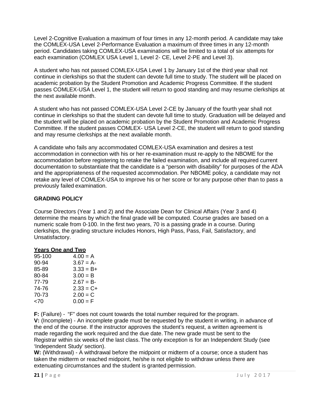Level 2-Cognitive Evaluation a maximum of four times in any 12-month period. A candidate may take the COMLEX-USA Level 2-Performance Evaluation a maximum of three times in any 12-month period. Candidates taking COMLEX-USA examinations will be limited to a total of six attempts for each examination (COMLEX USA Level 1, Level 2- CE, Level 2-PE and Level 3).

A student who has not passed COMLEX-USA Level 1 by January 1st of the third year shall not continue in clerkships so that the student can devote full time to study. The student will be placed on academic probation by the Student Promotion and Academic Progress Committee. If the student passes COMLEX-USA Level 1, the student will return to good standing and may resume clerkships at the next available month.

A student who has not passed COMLEX-USA Level 2-CE by January of the fourth year shall not continue in clerkships so that the student can devote full time to study. Graduation will be delayed and the student will be placed on academic probation by the Student Promotion and Academic Progress Committee. If the student passes COMLEX- USA Level 2-CE, the student will return to good standing and may resume clerkships at the next available month.

A candidate who fails any accommodated COMLEX-USA examination and desires a test accommodation in connection with his or her re-examination must re-apply to the NBOME for the accommodation before registering to retake the failed examination, and include all required current documentation to substantiate that the candidate is a "person with disability" for purposes of the ADA and the appropriateness of the requested accommodation. Per NBOME policy, a candidate may not retake any level of COMLEX-USA to improve his or her score or for any purpose other than to pass a previously failed examination.

#### **GRADING POLICY**

Course Directors (Year 1 and 2) and the Associate Dean for Clinical Affairs (Year 3 and 4) determine the means by which the final grade will be computed. Course grades are based on a numeric scale from 0-100. In the first two years, 70 is a passing grade in a course. During clerkships, the grading structure includes Honors, High Pass, Pass, Fail, Satisfactory, and Unsatisfactory.

#### **Years One and Two**

| $4.00 = A$   |
|--------------|
| $3.67 = A-$  |
| $3.33 = B +$ |
| $3.00 = B$   |
| $2.67 = B -$ |
| $2.33 = C +$ |
| $2.00 = C$   |
| $0.00 = F$   |
|              |

**F:** (Failure) - "F" does not count towards the total number required for the program.

**V:** (Incomplete) - An incomplete grade must be requested by the student in writing, in advance of the end of the course. If the instructor approves the student's request, a written agreement is made regarding the work required and the due date. The new grade must be sent to the Registrar within six weeks of the last class. The only exception is for an Independent Study (see 'Independent Study' section).

**W:** (Withdrawal) - A withdrawal before the midpoint or midterm of a course; once a student has taken the midterm or reached midpoint, he/she is not eligible to withdraw unless there are extenuating circumstances and the student is granted permission.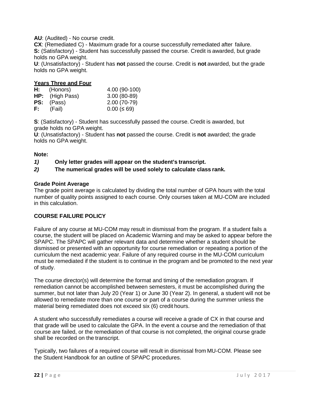**AU**: (Audited) - No course credit.

**CX**: (Remediated C) - Maximum grade for a course successfully remediated after failure. **S:** (Satisfactory) - Student has successfully passed the course. Credit is awarded, but grade holds no GPA weight.

**U**: (Unsatisfactory) - Student has **not** passed the course. Credit is **not** awarded, but the grade holds no GPA weight.

#### **Years Three and Four**

| H:   | (Honors)               | 4.00 (90-100) |
|------|------------------------|---------------|
|      | <b>HP:</b> (High Pass) | $3.00(80-89)$ |
|      | <b>PS:</b> (Pass)      | $2.00(70-79)$ |
| F: I | (Fail)                 | $0.00 \le 69$ |

**S**: (Satisfactory) - Student has successfully passed the course. Credit is awarded, but grade holds no GPA weight.

**U**: (Unsatisfactory) - Student has **not** passed the course. Credit is **not** awarded; the grade holds no GPA weight.

#### **Note:**

*1)* **Only letter grades will appear on the student's transcript.**

*2)* **The numerical grades will be used solely to calculate class rank.**

#### **Grade Point Average**

The grade point average is calculated by dividing the total number of GPA hours with the total number of quality points assigned to each course. Only courses taken at MU-COM are included in this calculation.

#### <span id="page-22-0"></span>**COURSE FAILURE POLICY**

Failure of any course at MU-COM may result in dismissal from the program. If a student fails a course, the student will be placed on Academic Warning and may be asked to appear before the SPAPC. The SPAPC will gather relevant data and determine whether a student should be dismissed or presented with an opportunity for course remediation or repeating a portion of the curriculum the next academic year. Failure of any required course in the MU-COM curriculum must be remediated if the student is to continue in the program and be promoted to the next year of study.

The course director(s) will determine the format and timing of the remediation program. If remediation cannot be accomplished between semesters, it must be accomplished during the summer, but not later than July 20 (Year 1) or June 30 (Year 2). In general, a student will not be allowed to remediate more than one course or part of a course during the summer unless the material being remediated does not exceed six (6) credit hours.

A student who successfully remediates a course will receive a grade of CX in that course and that grade will be used to calculate the GPA. In the event a course and the remediation of that course are failed, or the remediation of that course is not completed, the original course grade shall be recorded on the transcript.

Typically, two failures of a required course will result in dismissal from MU-COM. Please see the Student Handbook for an outline of SPAPC procedures.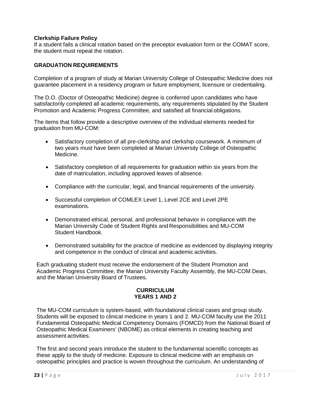#### **Clerkship Failure Policy**

If a student fails a clinical rotation based on the preceptor evaluation form or the COMAT score, the student must repeat the rotation.

#### <span id="page-23-0"></span>**GRADUATION REQUIREMENTS**

Completion of a program of study at Marian University College of Osteopathic Medicine does not guarantee placement in a residency program or future employment, licensure or credentialing.

The D.O. (Doctor of Osteopathic Medicine) degree is conferred upon candidates who have satisfactorily completed all academic requirements, any requirements stipulated by the Student Promotion and Academic Progress Committee, and satisfied all financial obligations.

The items that follow provide a descriptive overview of the individual elements needed for graduation from MU-COM:

- Satisfactory completion of all pre-clerkship and clerkship coursework. A minimum of two years must have been completed at Marian University College of Osteopathic Medicine.
- Satisfactory completion of all requirements for graduation within six years from the date of matriculation, including approved leaves of absence.
- Compliance with the curricular, legal, and financial requirements of the university.
- Successful completion of COMLEX Level 1, Level 2CE and Level 2PE examinations.
- Demonstrated ethical, personal, and professional behavior in compliance with the Marian University Code of Student Rights and Responsibilities and MU-COM Student Handbook.
- Demonstrated suitability for the practice of medicine as evidenced by displaying integrity and competence in the conduct of clinical and academic activities.

Each graduating student must receive the endorsement of the Student Promotion and Academic Progress Committee, the Marian University Faculty Assembly, the MU-COM Dean, and the Marian University Board of Trustees.

#### **CURRICULUM YEARS 1 AND 2**

The MU-COM curriculum is system-based, with foundational clinical cases and group study. Students will be exposed to clinical medicine in years 1 and 2. MU-COM faculty use the 2011 Fundamental Osteopathic Medical Competency Domains (FOMCD) from the National Board of Osteopathic Medical Examiners' (NBOME) as critical elements in creating teaching and assessment activities.

The first and second years introduce the student to the fundamental scientific concepts as these apply to the study of medicine. Exposure to clinical medicine with an emphasis on osteopathic principles and practice is woven throughout the curriculum. An understanding of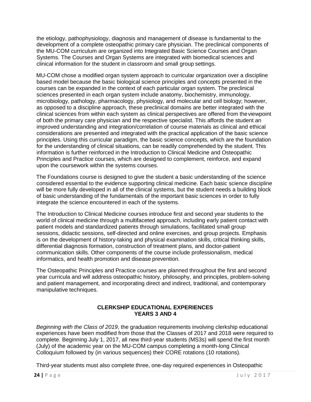the etiology, pathophysiology, diagnosis and management of disease is fundamental to the development of a complete osteopathic primary care physician. The preclinical components of the MU-COM curriculum are organized into Integrated Basic Science Courses and Organ Systems. The Courses and Organ Systems are integrated with biomedical sciences and clinical information for the student in classroom and small group settings.

MU-COM chose a modified organ system approach to curricular organization over a discipline based model because the basic biological science principles and concepts presented in the courses can be expanded in the context of each particular organ system. The preclinical sciences presented in each organ system include anatomy, biochemistry, immunology, microbiology, pathology, pharmacology, physiology, and molecular and cell biology; however, as opposed to a discipline approach, these preclinical domains are better integrated with the clinical sciences from within each system as clinical perspectives are offered from theviewpoint of both the primary care physician and the respective specialist. This affords the student an improved understanding and integration/correlation of course materials as clinical and ethical considerations are presented and integrated with the practical application of the basic science principles. Using this curricular paradigm, the basic science concepts, which are the foundation for the understanding of clinical situations, can be readily comprehended by the student. This information is further reinforced in the Introduction to Clinical Medicine and Osteopathic Principles and Practice courses, which are designed to complement, reinforce, and expand upon the coursework within the systems courses.

The Foundations course is designed to give the student a basic understanding of the science considered essential to the evidence supporting clinical medicine. Each basic science discipline will be more fully developed in all of the clinical systems, but the student needs a building block of basic understanding of the fundamentals of the important basic sciences in order to fully integrate the science encountered in each of the systems.

The Introduction to Clinical Medicine courses introduce first and second year students to the world of clinical medicine through a multifaceted approach, including early patient contact with patient models and standardized patients through simulations, facilitated small group sessions, didactic sessions, self-directed and online exercises, and group projects. Emphasis is on the development of history-taking and physical examination skills, critical thinking skills, differential diagnosis formation, construction of treatment plans, and doctor-patient communication skills. Other components of the course include professionalism, medical informatics, and health promotion and disease prevention.

The Osteopathic Principles and Practice courses are planned throughout the first and second year curricula and will address osteopathic history, philosophy, and principles, problem-solving and patient management, and incorporating direct and indirect, traditional, and contemporary manipulative techniques.

#### **CLERKSHIP EDUCATIONAL EXPERIENCES YEARS 3 AND 4**

<span id="page-24-0"></span>*Beginning with the Class of 2019*, the graduation requirements involving clerkship educational experiences have been modified from those that the Classes of 2017 and 2018 were required to complete. Beginning July 1, 2017, all new third-year students (MS3s) will spend the first month (July) of the academic year on the MU-COM campus completing a month-long Clinical Colloquium followed by (in various sequences) their CORE rotations (10 rotations).

Third-year students must also complete three, one-day required experiences in Osteopathic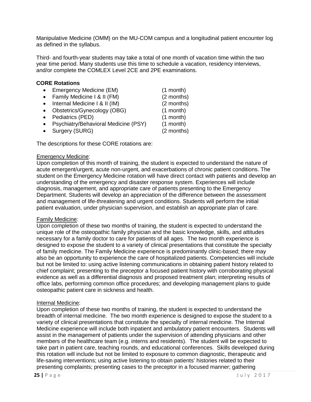Manipulative Medicine (OMM) on the MU-COM campus and a longitudinal patient encounter log as defined in the syllabus.

Third- and fourth-year students may take a total of one month of vacation time within the two year time period. Many students use this time to schedule a vacation, residency interviews, and/or complete the COMLEX Level 2CE and 2PE examinations.

#### **CORE Rotations**

- Emergency Medicine (EM) (1 month) • Family Medicine I & II (FM) (2 months) • Internal Medicine I & II (IM) (2 months) • Obstetrics/Gynecology (OBG) (1 month)
- Pediatrics (PED) (1 month)
- Psychiatry/Behavioral Medicine (PSY) (1 month)
- Surgery (SURG) (2 months)

The descriptions for these CORE rotations are:

#### Emergency Medicine:

Upon completion of this month of training, the student is expected to understand the nature of acute emergent/urgent, acute non-urgent, and exacerbations of chronic patient conditions. The student on the Emergency Medicine rotation will have direct contact with patients and develop an understanding of the emergency and disaster response system. Experiences will include diagnosis, management, and appropriate care of patients presenting to the Emergency Department. Students will develop an appreciation of the difference between the assessment and management of life-threatening and urgent conditions. Students will perform the initial patient evaluation, under physician supervision, and establish an appropriate plan of care.

#### Family Medicine:

Upon completion of these two months of training, the student is expected to understand the unique role of the osteopathic family physician and the basic knowledge, skills, and attitudes necessary for a family doctor to care for patients of all ages. The two month experience is designed to expose the student to a variety of clinical presentations that constitute the specialty of family medicine. The Family Medicine experience is predominantly clinic-based; there may also be an opportunity to experience the care of hospitalized patients. Competencies will include but not be limited to: using active listening communications in obtaining patient history related to chief complaint; presenting to the preceptor a focused patient history with corroborating physical evidence as well as a differential diagnosis and proposed treatment plan; interpreting results of office labs, performing common office procedures; and developing management plans to guide osteopathic patient care in sickness and health.

#### Internal Medicine:

Upon completion of these two months of training, the student is expected to understand the breadth of internal medicine. The two month experience is designed to expose the student to a variety of clinical presentations that constitute the specialty of internal medicine. The Internal Medicine experience will include both inpatient and ambulatory patient encounters. Students will assist in the management of patients under the supervision of attending physicians and other members of the healthcare team (e.g. interns and residents). The student will be expected to take part in patient care, teaching rounds, and educational conferences. Skills developed during this rotation will include but not be limited to exposure to common diagnostic, therapeutic and life-saving interventions; using active listening to obtain patients' histories related to their presenting complaints; presenting cases to the preceptor in a focused manner; gathering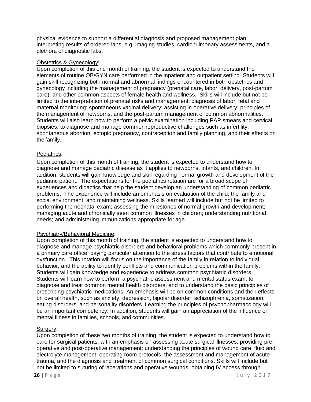physical evidence to support a differential diagnosis and proposed management plan; interpreting results of ordered labs, e.g. imaging studies, cardiopulmonary assessments, and a plethora of diagnostic labs.

#### Obstetrics & Gynecology:

Upon completion of this one month of training, the student is expected to understand the elements of routine OB/GYN care performed in the inpatient and outpatient setting. Students will gain skill recognizing both normal and abnormal findings encountered in both obstetrics and gynecology including the management of pregnancy (prenatal care, labor, delivery, post-partum care), and other common aspects of female health and wellness. Skills will include but not be limited to the interpretation of prenatal risks and management; diagnosis of labor; fetal and maternal monitoring; spontaneous vaginal delivery; assisting in operative delivery; principles of the management of newborns; and the post-partum management of common abnormalities. Students will also learn how to perform a pelvic examination including PAP smears and cervical biopsies, to diagnose and manage common reproductive challenges such as infertility, spontaneous abortion, ectopic pregnancy, contraception and family planning, and their effects on the family.

#### Pediatrics:

Upon completion of this month of training, the student is expected to understand how to diagnose and manage pediatric disease as it applies to newborns, infants, and children. In addition, students will gain knowledge and skill regarding normal growth and development of the pediatric patient. The expectations for the pediatrics rotation are for a broad scope of experiences and didactics that help the student develop an understanding of common pediatric problems. The experience will include an emphasis on evaluation of the child, the family and social environment, and maintaining wellness. Skills learned will include but not be limited to performing the neonatal exam; assessing the milestones of normal growth and development; managing acute and chronically seen common illnesses in children; understanding nutritional needs; and administering immunizations appropriate for age.

#### Psychiatry/Behavioral Medicine:

Upon completion of this month of training, the student is expected to understand how to diagnose and manage psychiatric disorders and behavioral problems which commonly present in a primary care office, paying particular attention to the stress factors that contribute to emotional dysfunction. This rotation will focus on the importance of the family in relation to individual behavior, and the ability to identify conflicts and communication problems within the family. Students will gain knowledge and experience to address common psychiatric disorders. Students will learn how to perform a psychiatric assessment and mental status exam, to diagnose and treat common mental health disorders, and to understand the basic principles of prescribing psychiatric medications. An emphasis will be on common conditions and their effects on overall health, such as anxiety, depression, bipolar disorder, schizophrenia, somatization, eating disorders, and personality disorders. Learning the principles of psychopharmacology will be an important competency. In addition, students will gain an appreciation of the influence of mental illness in families, schools, and communities.

#### Surgery:

Upon completion of these two months of training, the student is expected to understand how to care for surgical patients, with an emphasis on assessing acute surgical illnesses; providing preoperative and post-operative management; understanding the principles of wound care, fluid and electrolyte management, operating room protocols, the assessment and management of acute trauma, and the diagnosis and treatment of common surgical conditions. Skills will include but not be limited to suturing of lacerations and operative wounds; obtaining IV access through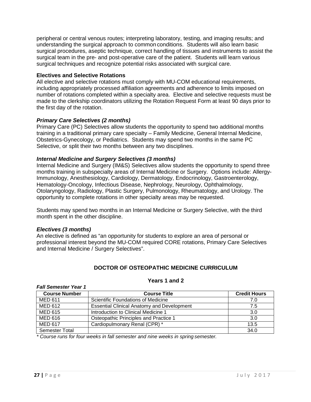peripheral or central venous routes; interpreting laboratory, testing, and imaging results; and understanding the surgical approach to common conditions. Students will also learn basic surgical procedures, aseptic technique, correct handling of tissues and instruments to assist the surgical team in the pre- and post-operative care of the patient. Students will learn various surgical techniques and recognize potential risks associated with surgical care.

#### **Electives and Selective Rotations**

All elective and selective rotations must comply with MU-COM educational requirements, including appropriately processed affiliation agreements and adherence to limits imposed on number of rotations completed within a specialty area. Elective and selective requests must be made to the clerkship coordinators utilizing the Rotation Request Form at least 90 days prior to the first day of the rotation.

#### *Primary Care Selectives (2 months)*

Primary Care (PC) Selectives allow students the opportunity to spend two additional months training in a traditional primary care specialty – Family Medicine, General Internal Medicine, Obstetrics-Gynecology, or Pediatrics. Students may spend two months in the same PC Selective, or split their two months between any two disciplines.

#### *Internal Medicine and Surgery Selectives (3 months)*

Internal Medicine and Surgery (IM&S) Selectives allow students the opportunity to spend three months training in subspecialty areas of Internal Medicine or Surgery. Options include: Allergy-Immunology, Anesthesiology, Cardiology, Dermatology, Endocrinology, Gastroenterology, Hematology-Oncology, Infectious Disease, Nephrology, Neurology, Ophthalmology, Otolaryngology, Radiology, Plastic Surgery, Pulmonology, Rheumatology, and Urology. The opportunity to complete rotations in other specialty areas may be requested.

Students may spend two months in an Internal Medicine or Surgery Selective, with the third month spent in the other discipline.

#### *Electives (3 months)*

*Fall Semester Year 1*

An elective is defined as "an opportunity for students to explore an area of personal or professional interest beyond the MU-COM required CORE rotations, Primary Care Selectives and Internal Medicine / Surgery Selectives".

#### **DOCTOR OF OSTEOPATHIC MEDICINE CURRICULUM**

| <b>Course Number</b>  | <b>Course Title</b>                               | <b>Credit Hours</b> |
|-----------------------|---------------------------------------------------|---------------------|
| MED 611               | Scientific Foundations of Medicine                | 7.0                 |
| MED 612               | <b>Essential Clinical Anatomy and Development</b> | 7.5                 |
| <b>MED 615</b>        | Introduction to Clinical Medicine 1               | 3.0                 |
| <b>MED 616</b>        | Osteopathic Principles and Practice 1             | 3.0                 |
| <b>MED 617</b>        | Cardiopulmonary Renal (CPR) *                     | 13.5                |
| <b>Semester Total</b> |                                                   | 34.0                |

#### **Years 1 and 2**

#### *\* Course runs for four weeks in fall semester and nine weeks in spring semester.*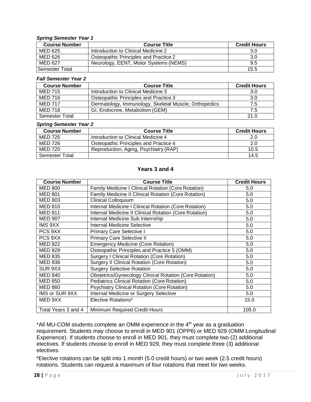#### *Spring Semester Year 1*

| <b>Course Number</b> | <b>Course Title</b>                   | <b>Credit Hours</b> |
|----------------------|---------------------------------------|---------------------|
| MED 625              | Introduction to Clinical Medicine 2   | 3.0                 |
| MED 626              | Osteopathic Principles and Practice 2 | 3.0                 |
| MED 627              | Neurology, EENT, Motor Systems (NEMS) | 9.5                 |
| Semester Total       |                                       | 15.5                |

#### *Fall Semester Year 2*

| <b>Course Number</b> | <b>Course Title</b>                                   | <b>Credit Hours</b> |
|----------------------|-------------------------------------------------------|---------------------|
| <b>MED 715</b>       | Introduction to Clinical Medicine 3                   | 3.0                 |
| MED 716              | Osteopathic Principles and Practice 3                 | 3.0                 |
| <b>MED 717</b>       | Dermatology, Immunology, Skeletal Muscle, Orthopedics | 7.5                 |
| <b>MED 718</b>       | GI, Endocrine, Metabolism (GEM)                       | 7.5                 |
| Semester Total       |                                                       | 21.0                |

#### *Spring Semester Year 2*

| <b>Course Number</b> | <b>Course Title</b>                   | <b>Credit Hours</b> |
|----------------------|---------------------------------------|---------------------|
| MED 725              | Introduction to Clinical Medicine 4   | 2.0                 |
| MED 726              | Osteopathic Principles and Practice 4 | 2.0                 |
| MED 720              | Reproduction, Aging, Psychiatry (RAP) | 10.5                |
| Semester Total       |                                       | 14.5                |

#### **Years 3 and 4**

| <b>Course Number</b> | <b>Course Title</b>                                            | <b>Credit Hours</b> |
|----------------------|----------------------------------------------------------------|---------------------|
| <b>MED 800</b>       | <b>Family Medicine I Clinical Rotation (Core Rotation)</b>     | 5.0                 |
| <b>MED 801</b>       | Family Medicine II Clinical Rotation (Core Rotation)           | 5.0                 |
| <b>MED 803</b>       | <b>Clinical Colloquium</b>                                     | 5.0                 |
| <b>MED 810</b>       | Internal Medicine I Clinical Rotation (Core Rotation)          | 5.0                 |
| <b>MED 811</b>       | Internal Medicine II Clinical Rotation (Core Rotation)         | 5.0                 |
| <b>MED 907</b>       | Internal Medicine Sub Internship                               | 5.0                 |
| IMS 9XX              | Internal Medicine Selective                                    | 5.0                 |
| PCS 9XX              | <b>Primary Care Selective I</b>                                | 5.0                 |
| PCS 9XX              | Primary Care Selective II                                      | 5.0                 |
| <b>MED 822</b>       | <b>Emergency Medicine (Core Rotation)</b>                      | 5.0                 |
| <b>MED 829</b>       | Osteopathic Principles and Practice 5 (OMM)                    | 5.0                 |
| <b>MED 835</b>       | <b>Surgery I Clinical Rotation (Core Rotation)</b>             | 5.0                 |
| <b>MED 836</b>       | <b>Surgery II Clinical Rotation (Core Rotation)</b>            | 5.0                 |
| SUR 9XX              | <b>Surgery Selective Rotation</b>                              | 5.0                 |
| <b>MED 840</b>       | <b>Obstetrics/Gynecology Clinical Rotation (Core Rotation)</b> | 5.0                 |
| <b>MED 850</b>       | <b>Pediatrics Clinical Rotation (Core Rotation)</b>            | 5.0                 |
| <b>MED 860</b>       | <b>Psychiatry Clinical Rotation (Core Rotation)</b>            | 5.0                 |
| IMS or SUR 9XX       | Internal Medicine or Surgery Selective                         | 5.0                 |
| MED 9XX              | Elective Rotations*                                            | 15.0                |
| Total Years 3 and 4  | Minimum Required Credit Hours                                  | 105.0               |

\*All MU-COM students complete an OMM experience in the 4<sup>th</sup> year as a graduation requirement. Students may choose to enroll in MED 901 (OPP6) or MED 929 (OMM Longitudinal Experience). If students choose to enroll in MED 901, they must complete two (2) additional electives. If students choose to enroll in MED 929, they must complete three (3) additional electives.

\*Elective rotations can be split into 1 month (5.0 credit hours) or two week (2.5 credit hours) rotations. Students can request a maximum of four rotations that meet for two weeks.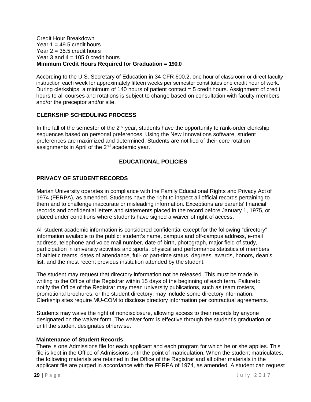#### <span id="page-29-0"></span>Credit Hour Breakdown Year  $1 = 49.5$  credit hours Year  $2 = 35.5$  credit hours Year 3 and  $4 = 105.0$  credit hours **Minimum Credit Hours Required for Graduation = 190.0**

According to the U.S. Secretary of Education in 34 CFR 600.2, one hour of classroom or direct faculty instruction each week for approximately fifteen weeks per semester constitutes one credit hour of work. During clerkships, a minimum of 140 hours of patient contact = 5 credit hours. Assignment of credit hours to all courses and rotations is subject to change based on consultation with faculty members and/or the preceptor and/or site.

#### **CLERKSHIP SCHEDULING PROCESS**

In the fall of the semester of the  $2<sup>nd</sup>$  year, students have the opportunity to rank-order clerkship sequences based on personal preferences. Using the New Innovations software, student preferences are maximized and determined. Students are notified of their core rotation assignments in April of the 2<sup>nd</sup> academic year.

#### **EDUCATIONAL POLICIES**

#### **PRIVACY OF STUDENT RECORDS**

Marian University operates in compliance with the Family Educational Rights and Privacy Act of 1974 (FERPA), as amended. Students have the right to inspect all official records pertaining to them and to challenge inaccurate or misleading information. Exceptions are parents' financial records and confidential letters and statements placed in the record before January 1, 1975, or placed under conditions where students have signed a waiver of right of access.

All student academic information is considered confidential except for the following "directory" information available to the public: student's name, campus and off-campus address, e-mail address, telephone and voice mail number, date of birth, photograph, major field of study, participation in university activities and sports, physical and performance statistics of members of athletic teams, dates of attendance, full- or part-time status, degrees, awards, honors, dean's list, and the most recent previous institution attended by the student.

The student may request that directory information not be released. This must be made in writing to the Office of the Registrar within 15 days of the beginning of each term. Failureto notify the Office of the Registrar may mean university publications, such as team rosters, promotional brochures, or the student directory, may include some directory information. Clerkship sites require MU-COM to disclose directory information per contractual agreements.

Students may waive the right of nondisclosure, allowing access to their records by anyone designated on the waiver form. The waiver form is effective through the student's graduation or until the student designates otherwise.

#### **Maintenance of Student Records**

There is one Admissions file for each applicant and each program for which he or she applies. This file is kept in the Office of Admissions until the point of matriculation. When the student matriculates, the following materials are retained in the Office of the Registrar and all other materials in the applicant file are purged in accordance with the FERPA of 1974, as amended. A student can request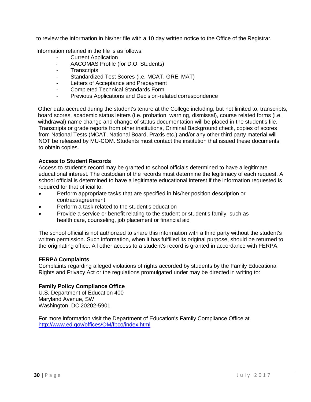to review the information in his/her file with a 10 day written notice to the Office of the Registrar.

Information retained in the file is as follows:

- **Current Application**
- AACOMAS Profile (for D.O. Students)
- Transcripts
- Standardized Test Scores (i.e. MCAT, GRE, MAT)
- Letters of Acceptance and Prepayment
- Completed Technical Standards Form
- Previous Applications and Decision-related correspondence

Other data accrued during the student's tenure at the College including, but not limited to, transcripts, board scores, academic status letters (i.e. probation, warning, dismissal), course related forms (i.e. withdrawal),name change and change of status documentation will be placed in the student's file. Transcripts or grade reports from other institutions, Criminal Background check, copies of scores from National Tests (MCAT, National Board, Praxis etc.) and/or any other third party material will NOT be released by MU-COM. Students must contact the institution that issued these documents to obtain copies.

#### **Access to Student Records**

Access to student's record may be granted to school officials determined to have a legitimate educational interest. The custodian of the records must determine the legitimacy of each request. A school official is determined to have a legitimate educational interest if the information requested is required for that official to:

- Perform appropriate tasks that are specified in his/her position description or contract/agreement
- Perform a task related to the student's education
- Provide a service or benefit relating to the student or student's family, such as health care, counseling, job placement or financial aid

The school official is not authorized to share this information with a third party without the student's written permission. Such information, when it has fulfilled its original purpose, should be returned to the originating office. All other access to a student's record is granted in accordance with FERPA.

#### **FERPA Complaints**

Complaints regarding alleged violations of rights accorded by students by the Family Educational Rights and Privacy Act or the regulations promulgated under may be directed in writing to:

#### **Family Policy Compliance Office**

U.S. Department of Education 400 Maryland Avenue, SW Washington, DC 20202-5901

<span id="page-30-0"></span>For more information visit the Department of Education's Family Compliance Office at <http://www.ed.gov/offices/OM/fpco/index.html>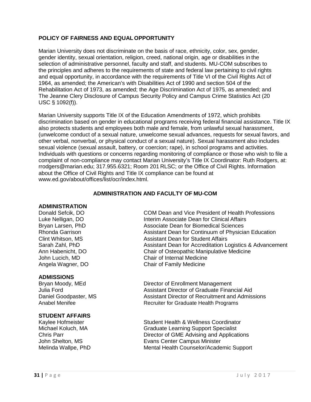#### **POLICY OF FAIRNESS AND EQUAL OPPORTUNITY**

Marian University does not discriminate on the basis of race, ethnicity, color, sex, gender, gender identity, sexual orientation, religion, creed, national origin, age or disabilities in the selection of administrative personnel, faculty and staff, and students. MU-COM subscribes to the principles and adheres to the requirements of state and federal law pertaining to civil rights and equal opportunity, in accordance with the requirements of Title VI of the Civil Rights Act of 1964, as amended; the American's with Disabilities Act of 1990 and section 504 of the Rehabilitation Act of 1973, as amended; the Age Discrimination Act of 1975, as amended; and The Jeanne Clery Disclosure of Campus Security Policy and Campus Crime Statistics Act (20 USC § 1092(f)).

Marian University supports Title IX of the Education Amendments of 1972, which prohibits discrimination based on gender in educational programs receiving federal financial assistance. Title IX also protects students and employees both male and female, from unlawful sexual harassment, (unwelcome conduct of a sexual nature, unwelcome sexual advances, requests for sexual favors, and other verbal, nonverbal, or physical conduct of a sexual nature). Sexual harassment also includes sexual violence (sexual assault, battery, or coercion; rape), in school programs and activities. Individuals with questions or concerns regarding monitoring of compliance or those who wish to file a complaint of non-compliance may contact Marian University's Title IX Coordinator: Ruth Rodgers, at: rrodgers@marian.edu; 317.955.6321; Room 201 RLSC; or the Office of Civil Rights. Information about the Office of Civil Rights and Title IX compliance can be found at [www.ed.gov/about/offices/list/ocr/index.html.](http://www.ed.gov/about/offices/list/ocr/index.html)

#### **ADMINISTRATION AND FACULTY OF MU-COM**

#### **ADMINISTRATION**

**ADMISSIONS**

## **STUDENT AFFAIRS**

Donald Sefcik, DO COM Dean and Vice President of Health Professions Luke Nelligan, DO **Interim Associate Dean for Clinical Affairs**<br>Bryan Larsen, PhD **Interim Associate Dean for Biomedical Sciences** Associate Dean for Biomedical Sciences Rhonda Garrison **Assistant Dean for Continuum of Physician Education** Clint Whitson, MS Assistant Dean for Student Affairs Sarah Zahl, PhD Assistant Dean for Accreditation Logistics & Advancement Ann Habenicht, DO Chair of Osteopathic Manipulative Medicine John Lucich, MD Chair of Internal Medicine Angela Wagner, DO Chair of Family Medicine

**Director of Enrollment Management** Julia Ford Assistant Director of Graduate Financial Aid Daniel Goodpaster, MS<br>
Assistant Director of Recruitment and Admissions<br>
Recruiter for Graduate Health Programs Recruiter for Graduate Health Programs

Student Health & Wellness Coordinator Michael Koluch, MA Graduate Learning Support Specialist<br>Chris Parr<br>Director of GME Advising and Applicat Director of GME Advising and Applications John Shelton, MS<br>
Melinda Wallpe, PhD<br>
Mental Health Counselor/Acade Mental Health Counselor/Academic Support